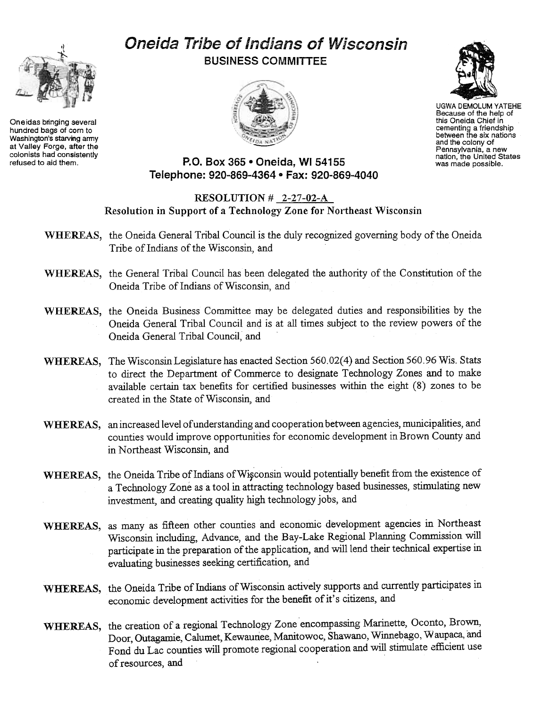# $\hat{y}^{(+)}$

Oneidas bringing several hundred bags of corn to Washington's starving army at Valley Forge, after the colonists had consistently refused to aid them.

# Oneida Tribe of Indians of Wisconsin BUSINESS COMMITTEE





UGWA DEMOLUM YATEHE Because of the help of this Oneida Chief in cementing a friendship<br>between the six nation and the colony of Pennsylvania, a new nation, the United States was made possible.

# P.O. Box 365 . Oneida, WI 54155 Telephone: 920-869-4364 . Fax: 920-869-4040

## RESOLUTION  $\#$  2-27-02-A Resolution in Support of a Technology Zone for Northeast Wisconsin

- WHEREAS, the Oneida General Tribal Council is the duly recognized governing body of the Oneida Tribe of Indians of the Wisconsin, and
- WHEREAS, the General Tribal Council has been delegated the authority of the Constitution of the Oneida Tribe of Indians of Wisconsin, and
- WHEREAS, the Oneida Business Committee may be delegated duties and responsibilities by the Oneida General Tribal Council and is at all times subject to the review powers of the Oneida General Tribal Council, and
- WHEREAS, The Wisconsin Legislature has enacted Section 560.02(4) and Section 560.96 Wis. Stats to direct the Department of Commerce to designate Technology Zones and to make available certain tax benefits for certified businesses within the eight (8) zones to be created in the State of Wisconsin, and
- WHEREAS, an increased level of understanding and cooperation between agencies, municipalities, and counties would improve opportunities for economic development in Brown County and in Northeast Wisconsin, and
- WHEREAS, the Oneida Tribe of Indians of Wisconsin would potentially benefit from the existence of a Technology Zone as a tool in attracting technology based businesses, stimulating new investment, and creating quality high technology jobs, and
- WHEREAS, as many as fifteen other counties and economic development agencies in Northeast Wisconsin including, Advance, and the Bay-Lake Regional Planning Commission will participate in the preparation of the application, and will lend their technical expertise in evaluating businesses seeking certification, and
- WHEREAS, the Oneida Tribe of Indians of Wisconsin actively supports and currently participates in economic development activities for the benefit of it's citizens, and
- WHEREAS, the creation of a regional Technology Zone encompassing Marinette, Oconto, Brown, Door, Outagamie, Calumet, Kewaunee, Manitowoc, Shawano, Winnebago, Waupaca, and Fond du Lac counties will promote regional cooperation and will stimulate efficient use of resources, and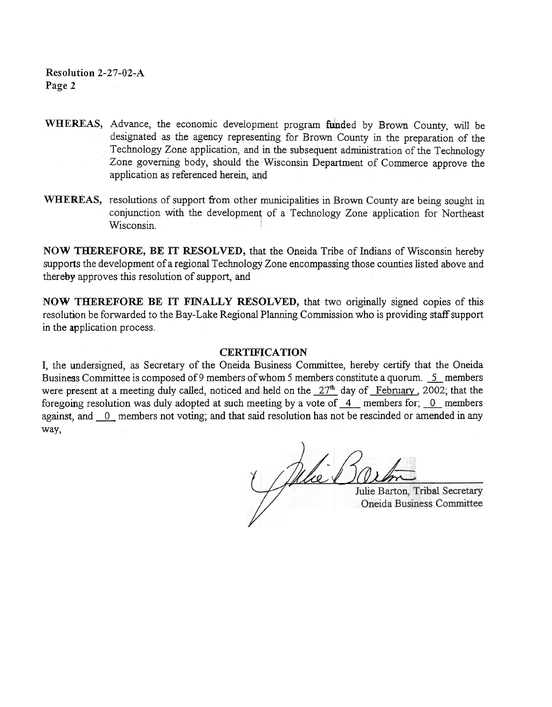Resolution 2-27-02-A Page 2

- WHEREAS, Advance, the economic development program funded by Brown County, will be designated as the agency representing for Brown County in the preparation of the Technology Zone application, and in the subsequent administration of the Technology Zone governing body, should the Wisconsin Department of Commerce approve the application as referenced herein, and
- WHEREAS, resolutions of support from other municipalities in Brown County are being sought in conjunction with the development of a Technology Zone application for Northeast Wisconsin.

NOW THEREFORE, BE IT RESOLVED, that the Oneida Tribe of Indians of Wisconsin hereby supports the development of a regional Technology Zone encompassing those counties listed above and thereby approves this resolution of support, and

NOW THEREFORE BE IT FINALLY RESOLVED, that two originally signed copies of this resolution be forwarded to the Bay-Lake Regional Planning Commission who is providing staff support in the application process.

### **CERTIFICATION**

I, the undersigned, as Secretary of the Oneida Business Committee, hereby certify that the Oneida Business Committee is composed of 9 members of whom 5 members constitute a quorum. 5 members were present at a meeting duly called, noticed and held on the  $27<sup>th</sup>$  day of February, 2002; that the foregoing resolution was duly adopted at such meeting by a vote of  $\,$  4 members for; 0 members against, and  $\theta$  members not voting; and that said resolution has not be rescinded or amended in any way,

Pelier

Julie Barton, Tribal Secretary Oneida Business Committee